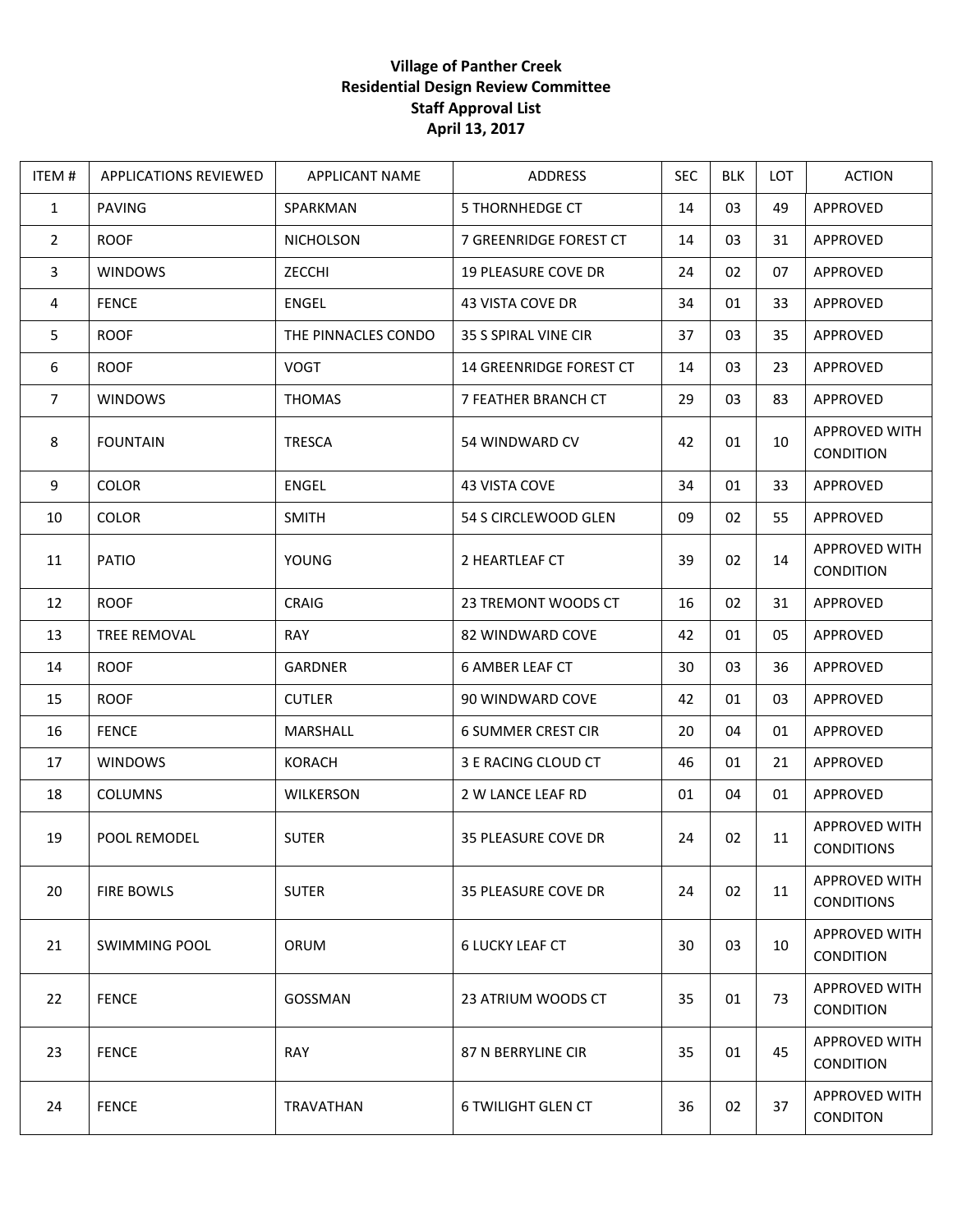## **Village of Panther Creek Residential Design Review Committee Staff Approval List April 13, 2017**

| ITEM#          | <b>APPLICATIONS REVIEWED</b> | <b>APPLICANT NAME</b> | ADDRESS                        | <b>SEC</b> | <b>BLK</b> | <b>LOT</b> | <b>ACTION</b>                      |
|----------------|------------------------------|-----------------------|--------------------------------|------------|------------|------------|------------------------------------|
| $\mathbf{1}$   | <b>PAVING</b>                | SPARKMAN              | <b>5 THORNHEDGE CT</b>         | 14         | 03         | 49         | APPROVED                           |
| $\overline{2}$ | <b>ROOF</b>                  | <b>NICHOLSON</b>      | 7 GREENRIDGE FOREST CT         | 14         | 03         | 31         | APPROVED                           |
| $\mathbf{3}$   | <b>WINDOWS</b>               | ZECCHI                | 19 PLEASURE COVE DR            | 24         | 02         | 07         | APPROVED                           |
| $\overline{4}$ | <b>FENCE</b>                 | ENGEL                 | 43 VISTA COVE DR               | 34         | 01         | 33         | APPROVED                           |
| 5              | <b>ROOF</b>                  | THE PINNACLES CONDO   | 35 S SPIRAL VINE CIR           | 37         | 03         | 35         | APPROVED                           |
| 6              | <b>ROOF</b>                  | <b>VOGT</b>           | <b>14 GREENRIDGE FOREST CT</b> | 14         | 03         | 23         | APPROVED                           |
| $\overline{7}$ | <b>WINDOWS</b>               | <b>THOMAS</b>         | 7 FEATHER BRANCH CT            | 29         | 03         | 83         | APPROVED                           |
| 8              | <b>FOUNTAIN</b>              | <b>TRESCA</b>         | 54 WINDWARD CV                 | 42         | 01         | 10         | APPROVED WITH<br>CONDITION         |
| 9              | <b>COLOR</b>                 | <b>ENGEL</b>          | 43 VISTA COVE                  | 34         | 01         | 33         | APPROVED                           |
| 10             | <b>COLOR</b>                 | <b>SMITH</b>          | 54 S CIRCLEWOOD GLEN           | 09         | 02         | 55         | APPROVED                           |
| 11             | PATIO                        | <b>YOUNG</b>          | 2 HEARTLEAF CT                 | 39         | 02         | 14         | APPROVED WITH<br><b>CONDITION</b>  |
| 12             | <b>ROOF</b>                  | <b>CRAIG</b>          | 23 TREMONT WOODS CT            | 16         | 02         | 31         | APPROVED                           |
| 13             | TREE REMOVAL                 | <b>RAY</b>            | 82 WINDWARD COVE               | 42         | 01         | 05         | APPROVED                           |
| 14             | <b>ROOF</b>                  | <b>GARDNER</b>        | <b>6 AMBER LEAF CT</b>         | 30         | 03         | 36         | APPROVED                           |
| 15             | <b>ROOF</b>                  | <b>CUTLER</b>         | 90 WINDWARD COVE               | 42         | 01         | 03         | APPROVED                           |
| 16             | <b>FENCE</b>                 | MARSHALL              | <b>6 SUMMER CREST CIR</b>      | 20         | 04         | 01         | APPROVED                           |
| 17             | <b>WINDOWS</b>               | <b>KORACH</b>         | 3 E RACING CLOUD CT            | 46         | 01         | 21         | APPROVED                           |
| 18             | <b>COLUMNS</b>               | <b>WILKERSON</b>      | 2 W LANCE LEAF RD              | 01         | 04         | 01         | APPROVED                           |
| 19             | POOL REMODEL                 | <b>SUTER</b>          | 35 PLEASURE COVE DR            | 24         | 02         | 11         | APPROVED WITH<br><b>CONDITIONS</b> |
| 20             | <b>FIRE BOWLS</b>            | <b>SUTER</b>          | <b>35 PLEASURE COVE DR</b>     | 24         | 02         | 11         | APPROVED WITH<br><b>CONDITIONS</b> |
| 21             | <b>SWIMMING POOL</b>         | ORUM                  | <b>6 LUCKY LEAF CT</b>         | 30         | 03         | 10         | APPROVED WITH<br><b>CONDITION</b>  |
| 22             | <b>FENCE</b>                 | GOSSMAN               | 23 ATRIUM WOODS CT             | 35         | 01         | 73         | APPROVED WITH<br><b>CONDITION</b>  |
| 23             | <b>FENCE</b>                 | RAY                   | 87 N BERRYLINE CIR             | 35         | 01         | 45         | APPROVED WITH<br><b>CONDITION</b>  |
| 24             | <b>FENCE</b>                 | TRAVATHAN             | <b>6 TWILIGHT GLEN CT</b>      | 36         | 02         | 37         | APPROVED WITH<br><b>CONDITON</b>   |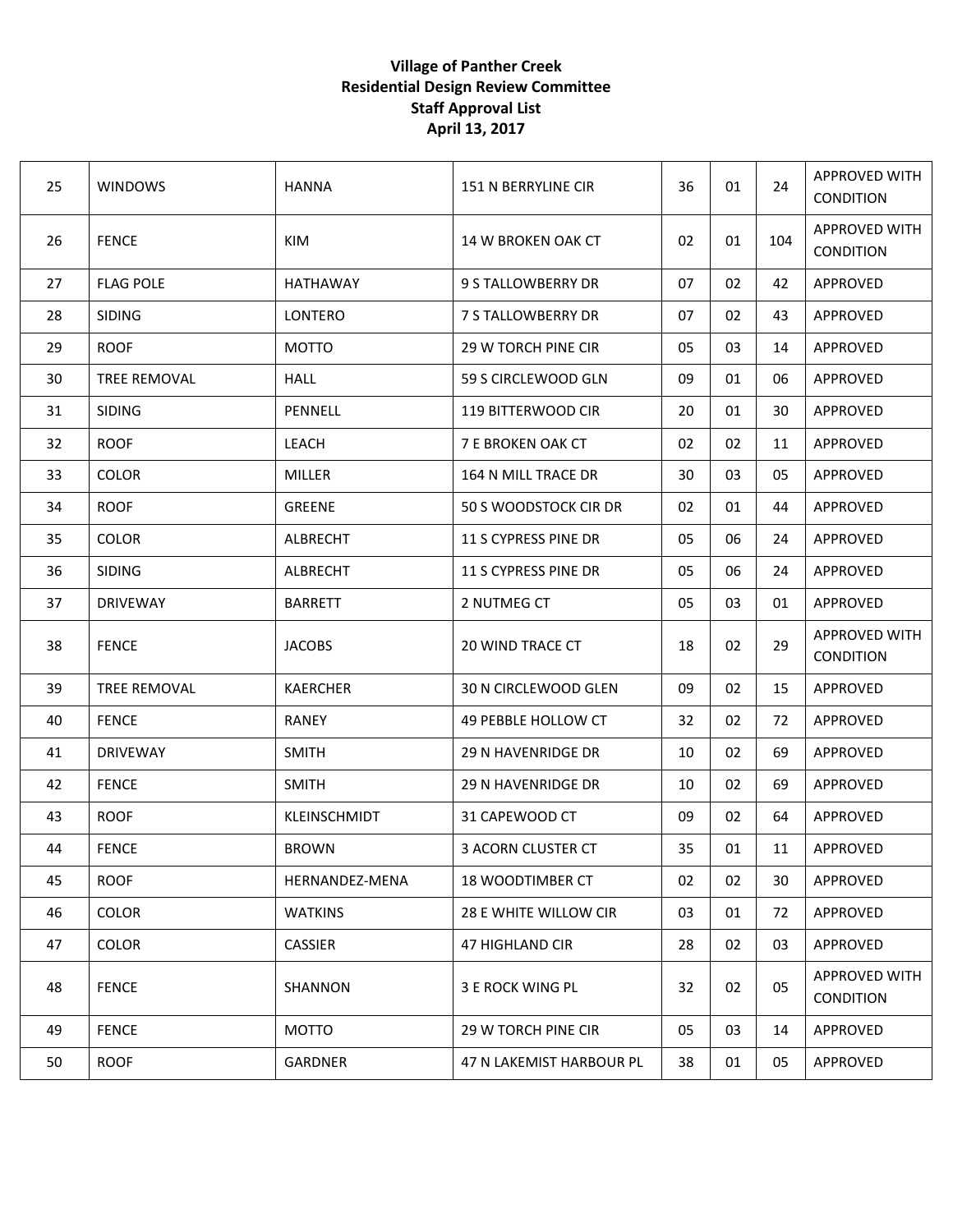## **Village of Panther Creek Residential Design Review Committee Staff Approval List April 13, 2017**

| 25 | <b>WINDOWS</b>   | <b>HANNA</b>    | 151 N BERRYLINE CIR      | 36 | 01 | 24  | APPROVED WITH<br><b>CONDITION</b> |
|----|------------------|-----------------|--------------------------|----|----|-----|-----------------------------------|
| 26 | <b>FENCE</b>     | KIM             | 14 W BROKEN OAK CT       | 02 | 01 | 104 | APPROVED WITH<br><b>CONDITION</b> |
| 27 | <b>FLAG POLE</b> | <b>HATHAWAY</b> | 9 S TALLOWBERRY DR       | 07 | 02 | 42  | APPROVED                          |
| 28 | <b>SIDING</b>    | LONTERO         | 7 S TALLOWBERRY DR       | 07 | 02 | 43  | APPROVED                          |
| 29 | <b>ROOF</b>      | <b>MOTTO</b>    | 29 W TORCH PINE CIR      | 05 | 03 | 14  | APPROVED                          |
| 30 | TREE REMOVAL     | <b>HALL</b>     | 59 S CIRCLEWOOD GLN      | 09 | 01 | 06  | <b>APPROVED</b>                   |
| 31 | <b>SIDING</b>    | PENNELL         | 119 BITTERWOOD CIR       | 20 | 01 | 30  | APPROVED                          |
| 32 | <b>ROOF</b>      | <b>LEACH</b>    | 7 E BROKEN OAK CT        | 02 | 02 | 11  | APPROVED                          |
| 33 | <b>COLOR</b>     | <b>MILLER</b>   | 164 N MILL TRACE DR      | 30 | 03 | 05  | APPROVED                          |
| 34 | <b>ROOF</b>      | <b>GREENE</b>   | 50 S WOODSTOCK CIR DR    | 02 | 01 | 44  | APPROVED                          |
| 35 | <b>COLOR</b>     | ALBRECHT        | 11 S CYPRESS PINE DR     | 05 | 06 | 24  | APPROVED                          |
| 36 | <b>SIDING</b>    | ALBRECHT        | 11 S CYPRESS PINE DR     | 05 | 06 | 24  | <b>APPROVED</b>                   |
| 37 | <b>DRIVEWAY</b>  | <b>BARRETT</b>  | 2 NUTMEG CT              | 05 | 03 | 01  | APPROVED                          |
| 38 | <b>FENCE</b>     | <b>JACOBS</b>   | 20 WIND TRACE CT         | 18 | 02 | 29  | APPROVED WITH<br><b>CONDITION</b> |
| 39 | TREE REMOVAL     | <b>KAERCHER</b> | 30 N CIRCLEWOOD GLEN     | 09 | 02 | 15  | APPROVED                          |
| 40 | <b>FENCE</b>     | <b>RANEY</b>    | 49 PEBBLE HOLLOW CT      | 32 | 02 | 72  | APPROVED                          |
| 41 | <b>DRIVEWAY</b>  | <b>SMITH</b>    | 29 N HAVENRIDGE DR       | 10 | 02 | 69  | APPROVED                          |
| 42 | <b>FENCE</b>     | <b>SMITH</b>    | 29 N HAVENRIDGE DR       | 10 | 02 | 69  | APPROVED                          |
| 43 | <b>ROOF</b>      | KLEINSCHMIDT    | 31 CAPEWOOD CT           | 09 | 02 | 64  | APPROVED                          |
| 44 | <b>FENCE</b>     | <b>BROWN</b>    | 3 ACORN CLUSTER CT       | 35 | 01 | 11  | APPROVED                          |
| 45 | <b>ROOF</b>      | HERNANDEZ-MENA  | 18 WOODTIMBER CT         | 02 | 02 | 30  | <b>APPROVED</b>                   |
| 46 | <b>COLOR</b>     | <b>WATKINS</b>  | 28 E WHITE WILLOW CIR    | 03 | 01 | 72  | APPROVED                          |
| 47 | <b>COLOR</b>     | <b>CASSIER</b>  | 47 HIGHLAND CIR          | 28 | 02 | 03  | APPROVED                          |
| 48 | <b>FENCE</b>     | SHANNON         | 3 E ROCK WING PL         | 32 | 02 | 05  | APPROVED WITH<br><b>CONDITION</b> |
| 49 | <b>FENCE</b>     | <b>MOTTO</b>    | 29 W TORCH PINE CIR      | 05 | 03 | 14  | APPROVED                          |
| 50 | <b>ROOF</b>      | GARDNER         | 47 N LAKEMIST HARBOUR PL | 38 | 01 | 05  | APPROVED                          |